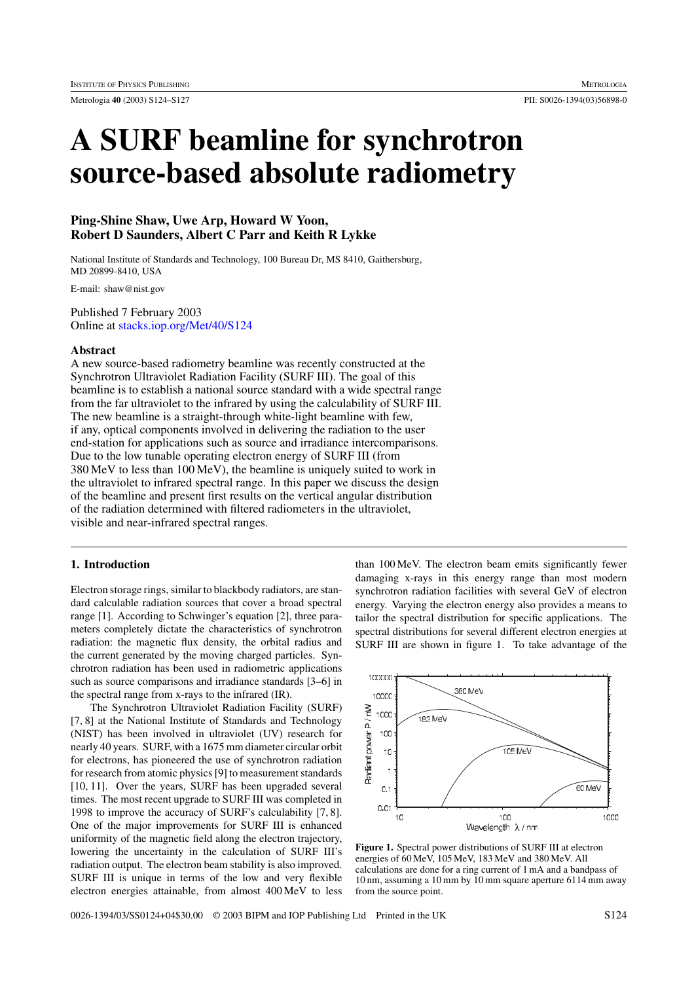# Metrologia **40** (2003) S124–S127 PII: S0026-1394(03)56898-0

# **A SURF beamline for synchrotron source-based absolute radiometry**

# **Ping-Shine Shaw, Uwe Arp, Howard W Yoon, Robert D Saunders, Albert C Parr and Keith R Lykke**

National Institute of Standards and Technology, 100 Bureau Dr, MS 8410, Gaithersburg, MD 20899-8410, USA

E-mail: shaw@nist.gov

Published 7 February 2003 Online at [stacks.iop.org/Met/40/S124](http://stacks.iop.org/me/40/S124)

#### **Abstract**

A new source-based radiometry beamline was recently constructed at the Synchrotron Ultraviolet Radiation Facility (SURF III). The goal of this beamline is to establish a national source standard with a wide spectral range from the far ultraviolet to the infrared by using the calculability of SURF III. The new beamline is a straight-through white-light beamline with few, if any, optical components involved in delivering the radiation to the user end-station for applications such as source and irradiance intercomparisons. Due to the low tunable operating electron energy of SURF III (from 380 MeV to less than 100 MeV), the beamline is uniquely suited to work in the ultraviolet to infrared spectral range. In this paper we discuss the design of the beamline and present first results on the vertical angular distribution of the radiation determined with filtered radiometers in the ultraviolet, visible and near-infrared spectral ranges.

# **1. Introduction**

Electron storage rings, similar to blackbody radiators, are standard calculable radiation sources that cover a broad spectral range [1]. According to Schwinger's equation [2], three parameters completely dictate the characteristics of synchrotron radiation: the magnetic flux density, the orbital radius and the current generated by the moving charged particles. Synchrotron radiation has been used in radiometric applications such as source comparisons and irradiance standards [3–6] in the spectral range from x-rays to the infrared (IR).

The Synchrotron Ultraviolet Radiation Facility (SURF) [7, 8] at the National Institute of Standards and Technology (NIST) has been involved in ultraviolet (UV) research for nearly 40 years. SURF, with a 1675 mm diameter circular orbit for electrons, has pioneered the use of synchrotron radiation for research from atomic physics [9] to measurement standards [10, 11]. Over the years, SURF has been upgraded several times. The most recent upgrade to SURF III was completed in 1998 to improve the accuracy of SURF's calculability [7, 8]. One of the major improvements for SURF III is enhanced uniformity of the magnetic field along the electron trajectory, lowering the uncertainty in the calculation of SURF III's radiation output. The electron beam stability is also improved. SURF III is unique in terms of the low and very flexible electron energies attainable, from almost 400 MeV to less

than 100 MeV. The electron beam emits significantly fewer damaging x-rays in this energy range than most modern synchrotron radiation facilities with several GeV of electron energy. Varying the electron energy also provides a means to tailor the spectral distribution for specific applications. The spectral distributions for several different electron energies at SURF III are shown in figure 1. To take advantage of the



**Figure 1.** Spectral power distributions of SURF III at electron energies of 60 MeV, 105 MeV, 183 MeV and 380 MeV. All calculations are done for a ring current of 1 mA and a bandpass of 10 nm, assuming a 10 mm by 10 mm square aperture 6114 mm away from the source point.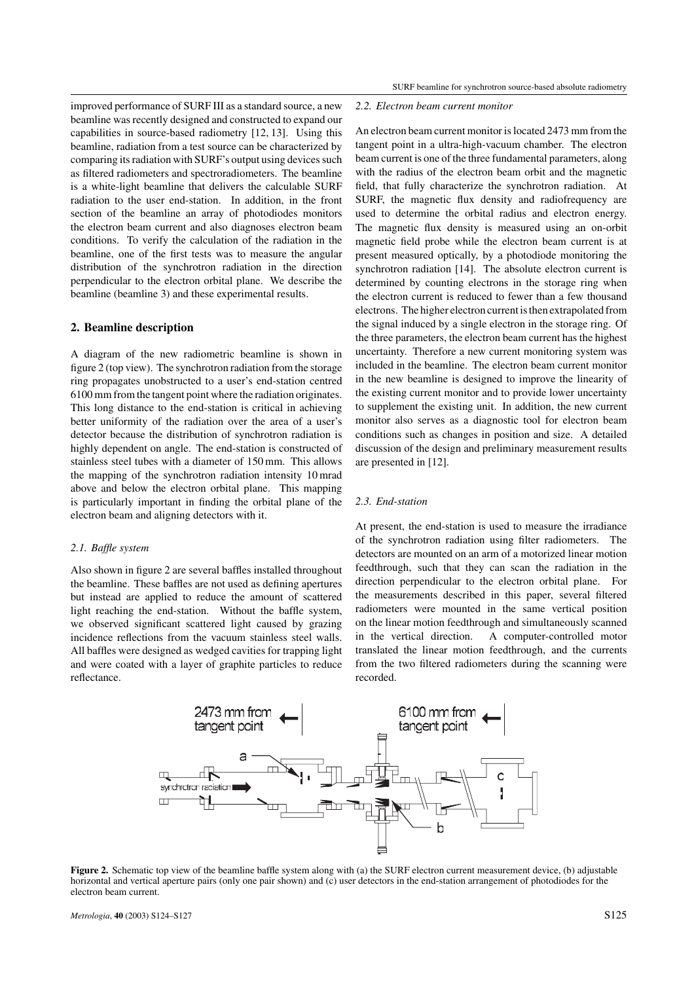improved performance of SURF III as a standard source, a new beamline was recently designed and constructed to expand our capabilities in source-based radiometry [12, 13]. Using this beamline, radiation from a test source can be characterized by comparing its radiation with SURF's output using devices such as filtered radiometers and spectroradiometers. The beamline is a white-light beamline that delivers the calculable SURF radiation to the user end-station. In addition, in the front section of the beamline an array of photodiodes monitors the electron beam current and also diagnoses electron beam conditions. To verify the calculation of the radiation in the beamline, one of the first tests was to measure the angular distribution of the synchrotron radiation in the direction perpendicular to the electron orbital plane. We describe the beamline (beamline 3) and these experimental results.

## **2. Beamline description**

A diagram of the new radiometric beamline is shown in figure 2 (top view). The synchrotron radiation from the storage ring propagates unobstructed to a user's end-station centred 6100 mm from the tangent point where the radiation originates. This long distance to the end-station is critical in achieving better uniformity of the radiation over the area of a user's detector because the distribution of synchrotron radiation is highly dependent on angle. The end-station is constructed of stainless steel tubes with a diameter of 150 mm. This allows the mapping of the synchrotron radiation intensity 10 mrad above and below the electron orbital plane. This mapping is particularly important in finding the orbital plane of the electron beam and aligning detectors with it.

## *2.1. Baffle system*

Also shown in figure 2 are several baffles installed throughout the beamline. These baffles are not used as defining apertures but instead are applied to reduce the amount of scattered light reaching the end-station. Without the baffle system, we observed significant scattered light caused by grazing incidence reflections from the vacuum stainless steel walls. All baffles were designed as wedged cavities for trapping light and were coated with a layer of graphite particles to reduce reflectance.

#### *2.2. Electron beam current monitor*

An electron beam current monitor is located 2473 mm from the tangent point in a ultra-high-vacuum chamber. The electron beam current is one of the three fundamental parameters, along with the radius of the electron beam orbit and the magnetic field, that fully characterize the synchrotron radiation. At SURF, the magnetic flux density and radiofrequency are used to determine the orbital radius and electron energy. The magnetic flux density is measured using an on-orbit magnetic field probe while the electron beam current is at present measured optically, by a photodiode monitoring the synchrotron radiation [14]. The absolute electron current is determined by counting electrons in the storage ring when the electron current is reduced to fewer than a few thousand electrons. The higher electron current is then extrapolated from the signal induced by a single electron in the storage ring. Of the three parameters, the electron beam current has the highest uncertainty. Therefore a new current monitoring system was included in the beamline. The electron beam current monitor in the new beamline is designed to improve the linearity of the existing current monitor and to provide lower uncertainty to supplement the existing unit. In addition, the new current monitor also serves as a diagnostic tool for electron beam conditions such as changes in position and size. A detailed discussion of the design and preliminary measurement results are presented in [12].

#### *2.3. End-station*

At present, the end-station is used to measure the irradiance of the synchrotron radiation using filter radiometers. The detectors are mounted on an arm of a motorized linear motion feedthrough, such that they can scan the radiation in the direction perpendicular to the electron orbital plane. For the measurements described in this paper, several filtered radiometers were mounted in the same vertical position on the linear motion feedthrough and simultaneously scanned in the vertical direction. A computer-controlled motor translated the linear motion feedthrough, and the currents from the two filtered radiometers during the scanning were recorded.



**Figure 2.** Schematic top view of the beamline baffle system along with (a) the SURF electron current measurement device, (b) adjustable horizontal and vertical aperture pairs (only one pair shown) and (c) user detectors in the end-station arrangement of photodiodes for the electron beam current.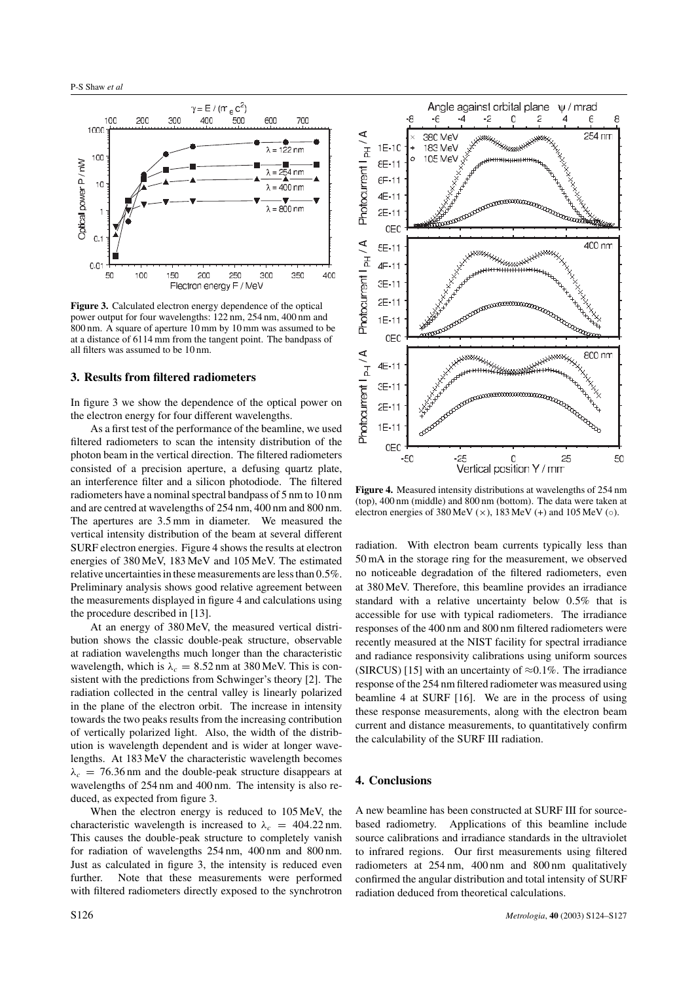

**Figure 3.** Calculated electron energy dependence of the optical power output for four wavelengths: 122 nm, 254 nm, 400 nm and 800 nm. A square of aperture 10 mm by 10 mm was assumed to be at a distance of 6114 mm from the tangent point. The bandpass of all filters was assumed to be 10 nm.

# **3. Results from filtered radiometers**

In figure 3 we show the dependence of the optical power on the electron energy for four different wavelengths.

As a first test of the performance of the beamline, we used filtered radiometers to scan the intensity distribution of the photon beam in the vertical direction. The filtered radiometers consisted of a precision aperture, a defusing quartz plate, an interference filter and a silicon photodiode. The filtered radiometers have a nominal spectral bandpass of 5 nm to 10 nm and are centred at wavelengths of 254 nm, 400 nm and 800 nm. The apertures are 3.5 mm in diameter. We measured the vertical intensity distribution of the beam at several different SURF electron energies. Figure 4 shows the results at electron energies of 380 MeV, 183 MeV and 105 MeV. The estimated relative uncertainties in these measurements are less than 0*.*5%. Preliminary analysis shows good relative agreement between the measurements displayed in figure 4 and calculations using the procedure described in [13].

At an energy of 380 MeV, the measured vertical distribution shows the classic double-peak structure, observable at radiation wavelengths much longer than the characteristic wavelength, which is  $\lambda_c = 8.52$  nm at 380 MeV. This is consistent with the predictions from Schwinger's theory [2]. The radiation collected in the central valley is linearly polarized in the plane of the electron orbit. The increase in intensity towards the two peaks results from the increasing contribution of vertically polarized light. Also, the width of the distribution is wavelength dependent and is wider at longer wavelengths. At 183 MeV the characteristic wavelength becomes  $\lambda_c = 76.36$  nm and the double-peak structure disappears at wavelengths of 254 nm and 400 nm. The intensity is also reduced, as expected from figure 3.

When the electron energy is reduced to 105 MeV, the characteristic wavelength is increased to  $\lambda_c = 404.22$  nm. This causes the double-peak structure to completely vanish for radiation of wavelengths 254 nm, 400 nm and 800 nm. Just as calculated in figure 3, the intensity is reduced even further. Note that these measurements were performed with filtered radiometers directly exposed to the synchrotron



**Figure 4.** Measured intensity distributions at wavelengths of 254 nm (top), 400 nm (middle) and 800 nm (bottom). The data were taken at electron energies of  $380 \text{ MeV}$  ( $\times$ ),  $183 \text{ MeV}$  (+) and  $105 \text{ MeV}$  ( $\circ$ ).

radiation. With electron beam currents typically less than 50 mA in the storage ring for the measurement, we observed no noticeable degradation of the filtered radiometers, even at 380 MeV. Therefore, this beamline provides an irradiance standard with a relative uncertainty below 0*.*5% that is accessible for use with typical radiometers. The irradiance responses of the 400 nm and 800 nm filtered radiometers were recently measured at the NIST facility for spectral irradiance and radiance responsivity calibrations using uniform sources (SIRCUS) [15] with an uncertainty of  $\approx 0.1\%$ . The irradiance response of the 254 nm filtered radiometer was measured using beamline 4 at SURF [16]. We are in the process of using these response measurements, along with the electron beam current and distance measurements, to quantitatively confirm the calculability of the SURF III radiation.

# **4. Conclusions**

A new beamline has been constructed at SURF III for sourcebased radiometry. Applications of this beamline include source calibrations and irradiance standards in the ultraviolet to infrared regions. Our first measurements using filtered radiometers at 254 nm, 400 nm and 800 nm qualitatively confirmed the angular distribution and total intensity of SURF radiation deduced from theoretical calculations.